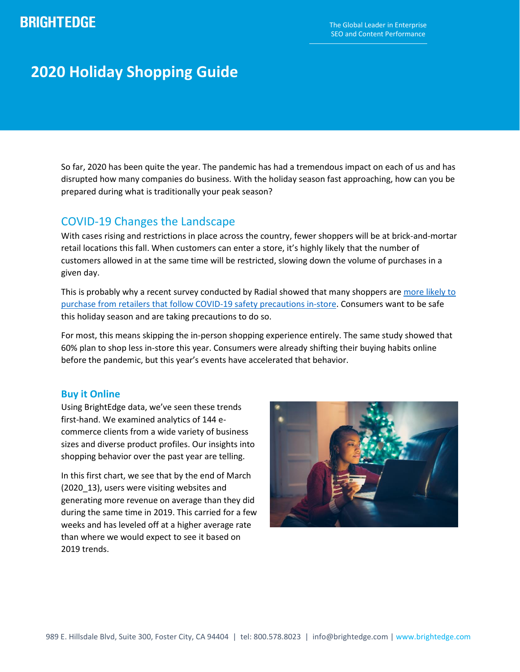# **BRIGHTEDGE**

# **2020 Holiday Shopping Guide**

So far, 2020 has been quite the year. The pandemic has had a tremendous impact on each of us and has disrupted how many companies do business. With the holiday season fast approaching, how can you be prepared during what is traditionally your peak season?

## COVID-19 Changes the Landscape

With cases rising and restrictions in place across the country, fewer shoppers will be at brick-and-mortar retail locations this fall. When customers can enter a store, it's highly likely that the number of customers allowed in at the same time will be restricted, slowing down the volume of purchases in a given day.

This is probably why a recent survey conducted by Radial showed that many shoppers are [more likely to](https://www.prnewswire.com/news-releases/retailers-get-ready-survey-shows-covid-19-impact-hasnt-disrupted-consumer-holiday-shopping-plans-301089520.html)  [purchase from retailers that follow COVID-19 safety precautions in-store.](https://www.prnewswire.com/news-releases/retailers-get-ready-survey-shows-covid-19-impact-hasnt-disrupted-consumer-holiday-shopping-plans-301089520.html) Consumers want to be safe this holiday season and are taking precautions to do so.

For most, this means skipping the in-person shopping experience entirely. The same study showed that 60% plan to shop less in-store this year. Consumers were already shifting their buying habits online before the pandemic, but this year's events have accelerated that behavior.

### **Buy it Online**

Using BrightEdge data, we've seen these trends first-hand. We examined analytics of 144 ecommerce clients from a wide variety of business sizes and diverse product profiles. Our insights into shopping behavior over the past year are telling.

In this first chart, we see that by the end of March (2020–13), users were visiting websites and generating more revenue on average than they did during the same time in 2019. This carried for a few weeks and has leveled off at a higher average rate than where we would expect to see it based on 2019 trends.

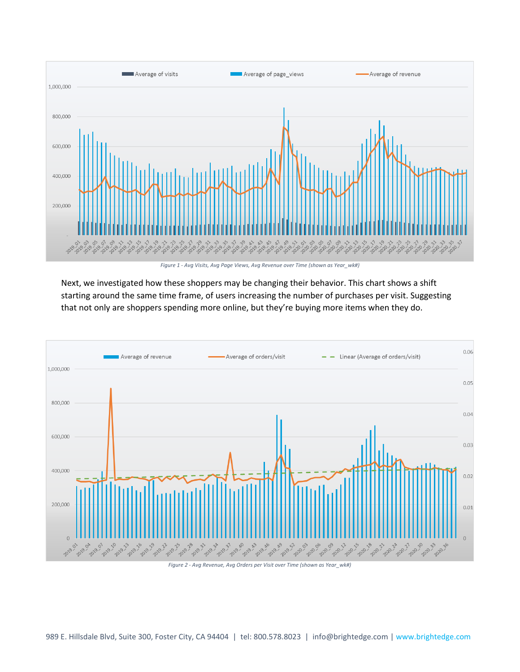

*Figure 1 - Avg Visits, Avg Page Views, Avg Revenue over Time (shown as Year\_wk#)*

Next, we investigated how these shoppers may be changing their behavior. This chart shows a shift starting around the same time frame, of users increasing the number of purchases per visit. Suggesting that not only are shoppers spending more online, but they're buying more items when they do.



*Figure 2 - Avg Revenue, Avg Orders per Visit over Time (shown as Year\_wk#)*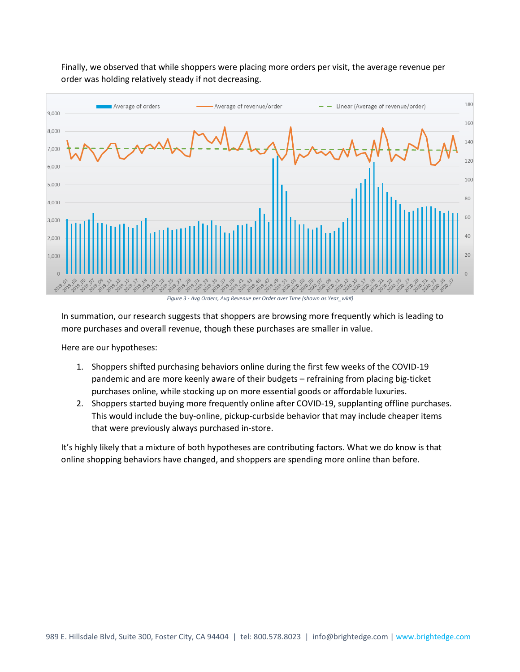

Finally, we observed that while shoppers were placing more orders per visit, the average revenue per order was holding relatively steady if not decreasing.

In summation, our research suggests that shoppers are browsing more frequently which is leading to more purchases and overall revenue, though these purchases are smaller in value.

Here are our hypotheses:

- 1. Shoppers shifted purchasing behaviors online during the first few weeks of the COVID-19 pandemic and are more keenly aware of their budgets – refraining from placing big-ticket purchases online, while stocking up on more essential goods or affordable luxuries.
- 2. Shoppers started buying more frequently online after COVID-19, supplanting offline purchases. This would include the buy-online, pickup-curbside behavior that may include cheaper items that were previously always purchased in-store.

It's highly likely that a mixture of both hypotheses are contributing factors. What we do know is that online shopping behaviors have changed, and shoppers are spending more online than before.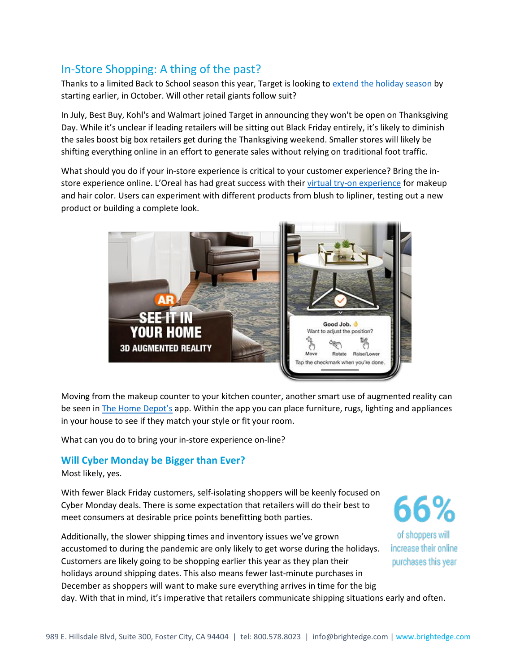## In-Store Shopping: A thing of the past?

Thanks to a limited Back to School season this year, Target is looking t[o extend the holiday season](https://www.marketwatch.com/story/target-talks-christmas-in-july-with-holiday-shopping-announcement-2020-07-27) by starting earlier, in October. Will other retail giants follow suit?

In July, Best Buy, Kohl's and Walmart joined Target in announcing they won't be open on Thanksgiving Day. While it's unclear if leading retailers will be sitting out Black Friday entirely, it's likely to diminish the sales boost big box retailers get during the Thanksgiving weekend. Smaller stores will likely be shifting everything online in an effort to generate sales without relying on traditional foot traffic.

What should you do if your in-store experience is critical to your customer experience? Bring the instore experience online. L'Oreal has had great success with their [virtual try-on experience](https://www.lorealparisusa.com/virtual-try-on/makeup.aspx) for makeup and hair color. Users can experiment with different products from blush to lipliner, testing out a new product or building a complete look.



Moving from the makeup counter to your kitchen counter, another smart use of augmented reality can be seen in [The Home Depot's](https://www.homedepot.com/c/SF_Mobile_Shopping) app. Within the app you can place furniture, rugs, lighting and appliances in your house to see if they match your style or fit your room.

What can you do to bring your in-store experience on-line?

## **Will Cyber Monday be Bigger than Ever?**

Most likely, yes.

With fewer Black Friday customers, self-isolating shoppers will be keenly focused on Cyber Monday deals. There is some expectation that retailers will do their best to meet consumers at desirable price points benefitting both parties.

Additionally, the slower shipping times and inventory issues we've grown accustomed to during the pandemic are only likely to get worse during the holidays. Customers are likely going to be shopping earlier this year as they plan their holidays around shipping dates. This also means fewer last-minute purchases in December as shoppers will want to make sure everything arrives in time for the big day. With that in mind, it's imperative that retailers communicate shipping situations early and often.

66% of shoppers will increase their online purchases this year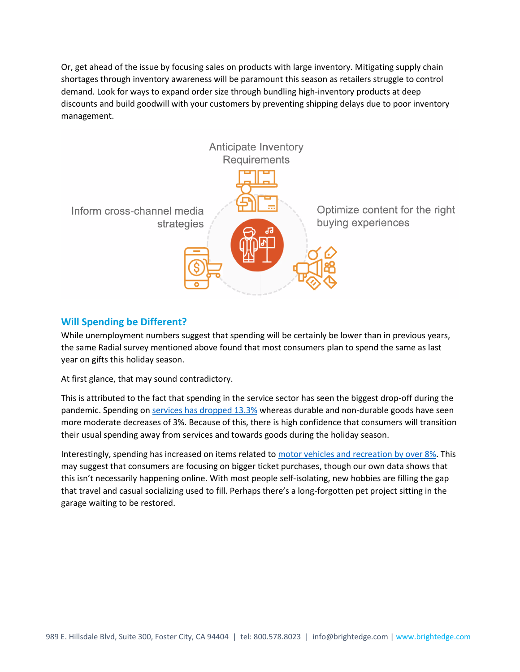Or, get ahead of the issue by focusing sales on products with large inventory. Mitigating supply chain shortages through inventory awareness will be paramount this season as retailers struggle to control demand. Look for ways to expand order size through bundling high-inventory products at deep discounts and build goodwill with your customers by preventing shipping delays due to poor inventory management.



## **Will Spending be Different?**

While unemployment numbers suggest that spending will be certainly be lower than in previous years, the same Radial survey mentioned above found that most consumers plan to spend the same as last year on gifts this holiday season.

At first glance, that may sound contradictory.

This is attributed to the fact that spending in the service sector has seen the biggest drop-off during the pandemic. Spending on [services has dropped 13.3%](https://www.nytimes.com/live/2020/07/30/business/stock-market-today-coronavirus#consumer-spending-plummeted-in-the-second-quarter-but-not-across-the-board) whereas durable and non-durable goods have seen more moderate decreases of 3%. Because of this, there is high confidence that consumers will transition their usual spending away from services and towards goods during the holiday season.

Interestingly, spending has increased on items related t[o motor vehicles and recreation](https://www.bea.gov/sites/default/files/2020-07/gdp2q20_adv.pdf) by over 8%. This may suggest that consumers are focusing on bigger ticket purchases, though our own data shows that this isn't necessarily happening online. With most people self-isolating, new hobbies are filling the gap that travel and casual socializing used to fill. Perhaps there's a long-forgotten pet project sitting in the garage waiting to be restored.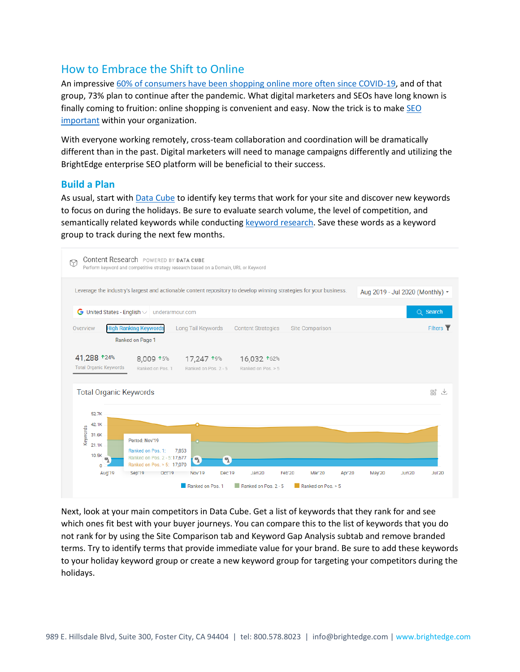## How to Embrace the Shift to Online

An impressive [60% of consumers have been shopping online more often since COVID-19,](https://www.softwareadvice.com/resources/importance-implementing-customer-loyalty-programs/) and of that group, 73% plan to continue after the pandemic. What digital marketers and SEOs have long known is finally coming to fruition: online shopping is convenient and easy. Now the trick is to mak[e SEO](https://www.brightedge.com/blog/importance-seo-e-commerce-and-retail)  [important](https://www.brightedge.com/blog/importance-seo-e-commerce-and-retail) within your organization.

With everyone working remotely, cross-team collaboration and coordination will be dramatically different than in the past. Digital marketers will need to manage campaigns differently and utilizing the BrightEdge enterprise SEO platform will be beneficial to their success.

### **Build a Plan**

As usual, start wit[h Data](https://www.brightedge.com/products/s3/data-cube) Cube to identify key terms that work for your site and discover new keywords to focus on during the holidays. Be sure to evaluate search volume, the level of competition, and semantically related keywords while conducting [keyword research.](https://www.brightedge.com/solutions/keyword-research-prioritization) Save these words as a keyword group to track during the next few months.



Next, look at your main competitors in Data Cube. Get a list of keywords that they rank for and see which ones fit best with your buyer journeys. You can compare this to the list of keywords that you do not rank for by using the Site Comparison tab and Keyword Gap Analysis subtab and remove branded terms. Try to identify terms that provide immediate value for your brand. Be sure to add these keywords to your holiday keyword group or create a new keyword group for targeting your competitors during the holidays.